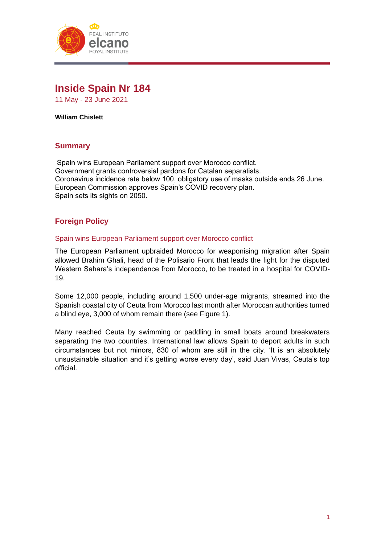

# **Inside Spain Nr 184**

11 May - 23 June 2021

**William Chislett**

# **Summary**

Spain wins European Parliament support over Morocco conflict. Government grants controversial pardons for Catalan separatists. Coronavirus incidence rate below 100, obligatory use of masks outside ends 26 June. European Commission approves Spain's COVID recovery plan. Spain sets its sights on 2050.

# **Foreign Policy**

#### Spain wins European Parliament support over Morocco conflict

The European Parliament upbraided Morocco for weaponising migration after Spain allowed Brahim Ghali, head of the Polisario Front that leads the fight for the disputed Western Sahara's independence from Morocco, to be treated in a hospital for COVID-19.

Some 12,000 people, including around 1,500 under-age migrants, streamed into the Spanish coastal city of Ceuta from Morocco last month after Moroccan authorities turned a blind eye, 3,000 of whom remain there (see Figure 1).

Many reached Ceuta by swimming or paddling in small boats around breakwaters separating the two countries. International law allows Spain to deport adults in such circumstances but not minors, 830 of whom are still in the city. 'It is an absolutely unsustainable situation and it's getting worse every day', said Juan Vivas, Ceuta's top official.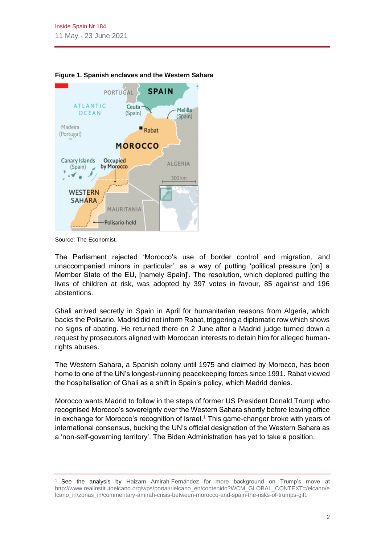

#### **Figure 1. Spanish enclaves and the Western Sahara**

Source: The Economist.

The Parliament rejected 'Morocco's use of border control and migration, and unaccompanied minors in particular', as a way of putting 'political pressure [on] a Member State of the EU, [namely Spain]'. The resolution, which deplored putting the lives of children at risk, was adopted by 397 votes in favour, 85 against and 196 abstentions.

Ghali arrived secretly in Spain in April for humanitarian reasons from Algeria, which backs the Polisario. Madrid did not inform Rabat, triggering a diplomatic row which shows no signs of abating. He returned there on 2 June after a Madrid judge turned down a request by prosecutors aligned with Moroccan interests to detain him for alleged humanrights abuses.

The Western Sahara, a Spanish colony until 1975 and claimed by Morocco, has been home to one of the UN's longest-running peacekeeping forces since 1991. Rabat viewed the hospitalisation of Ghali as a shift in Spain's policy, which Madrid denies.

Morocco wants Madrid to follow in the steps of former US President Donald Trump who recognised Morocco's sovereignty over the Western Sahara shortly before leaving office in exchange for Morocco's recognition of Israel.<sup>1</sup> This game-changer broke with years of international consensus, bucking the UN's official designation of the Western Sahara as a 'non-self-governing territory'. The Biden Administration has yet to take a position.

<sup>1</sup> See the analysis by Haizam Amirah-Fernández for more background on Trump's move at [http://www.realinstitutoelcano.org/wps/portal/rielcano\\_en/contenido?WCM\\_GLOBAL\\_CONTEXT=/elcano/e](http://www.realinstitutoelcano.org/wps/portal/rielcano_en/contenido?WCM_GLOBAL_CONTEXT=/elcano/elcano_in/zonas_in/commentary-amirah-crisis-between-morocco-and-spain-the-risks-of-trumps-gift) [lcano\\_in/zonas\\_in/commentary-amirah-crisis-between-morocco-and-spain-the-risks-of-trumps-gift.](http://www.realinstitutoelcano.org/wps/portal/rielcano_en/contenido?WCM_GLOBAL_CONTEXT=/elcano/elcano_in/zonas_in/commentary-amirah-crisis-between-morocco-and-spain-the-risks-of-trumps-gift)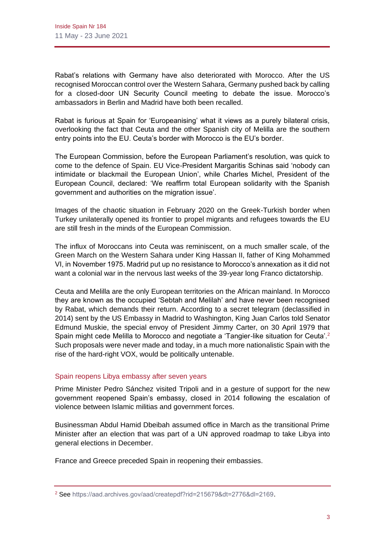Rabat's relations with Germany have also deteriorated with Morocco. After the US recognised Moroccan control over the Western Sahara, Germany pushed back by calling for a closed-door UN Security Council meeting to debate the issue. Morocco's ambassadors in Berlin and Madrid have both been recalled.

Rabat is furious at Spain for 'Europeanising' what it views as a purely bilateral crisis, overlooking the fact that Ceuta and the other Spanish city of Melilla are the southern entry points into the EU. Ceuta's border with Morocco is the EU's border.

The European Commission, before the European Parliament's resolution, was quick to come to the defence of Spain. EU Vice-President Margaritis Schinas said 'nobody can intimidate or blackmail the European Union', while Charles Michel, President of the European Council, declared: 'We reaffirm total European solidarity with the Spanish government and authorities on the migration issue'.

Images of the chaotic situation in February 2020 on the Greek-Turkish border when Turkey unilaterally opened its frontier to propel migrants and refugees towards the EU are still fresh in the minds of the European Commission.

The influx of Moroccans into Ceuta was reminiscent, on a much smaller scale, of the Green March on the Western Sahara under King Hassan II, father of King Mohammed VI, in November 1975. Madrid put up no resistance to Morocco's annexation as it did not want a colonial war in the nervous last weeks of the 39-year long Franco dictatorship.

Ceuta and Melilla are the only European territories on the African mainland. In Morocco they are known as the occupied 'Sebtah and Melilah' and have never been recognised by Rabat, which demands their return. According to a secret telegram (declassified in 2014) sent by the US Embassy in Madrid to Washington, King Juan Carlos told Senator Edmund Muskie, the special envoy of President Jimmy Carter, on 30 April 1979 that Spain might cede Melilla to Morocco and negotiate a 'Tangier-like situation for Ceuta'.<sup>2</sup> Such proposals were never made and today, in a much more nationalistic Spain with the rise of the hard-right VOX, would be politically untenable.

# Spain reopens Libya embassy after seven years

Prime Minister Pedro Sánchez visited Tripoli and in a gesture of support for the new government reopened Spain's embassy, closed in 2014 following the escalation of violence between Islamic militias and government forces.

Businessman Abdul Hamid Dbeibah assumed office in March as the transitional Prime Minister after an election that was part of a UN approved roadmap to take Libya into general elections in December.

France and Greece preceded Spain in reopening their embassies.

<sup>2</sup> See<https://aad.archives.gov/aad/createpdf?rid=215679&dt=2776&dl=2169>.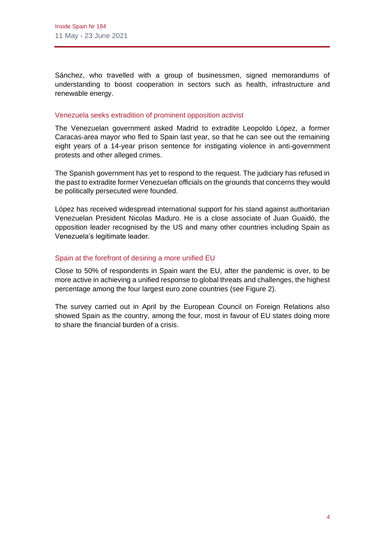Sánchez, who travelled with a group of businessmen, signed memorandums of understanding to boost cooperation in sectors such as health, infrastructure and renewable energy.

#### Venezuela seeks extradition of prominent opposition activist

The Venezuelan government asked Madrid to extradite Leopoldo López, a former Caracas-area mayor who fled to Spain last year, so that he can see out the remaining eight years of a 14-year prison sentence for instigating violence in anti-government protests and other alleged crimes.

The Spanish government has yet to respond to the request. The judiciary has refused in the past to extradite former Venezuelan officials on the grounds that concerns they would be politically persecuted were founded.

López has received widespread international support for his stand against authoritarian Venezuelan President Nicolas Maduro. He is a close associate of Juan Guaidó, the opposition leader recognised by the US and many other countries including Spain as Venezuela's legitimate leader.

# Spain at the forefront of desiring a more unified EU

Close to 50% of respondents in Spain want the EU, after the pandemic is over, to be more active in achieving a unified response to global threats and challenges, the highest percentage among the four largest euro zone countries (see Figure 2).

The survey carried out in April by the European Council on Foreign Relations also showed Spain as the country, among the four, most in favour of EU states doing more to share the financial burden of a crisis.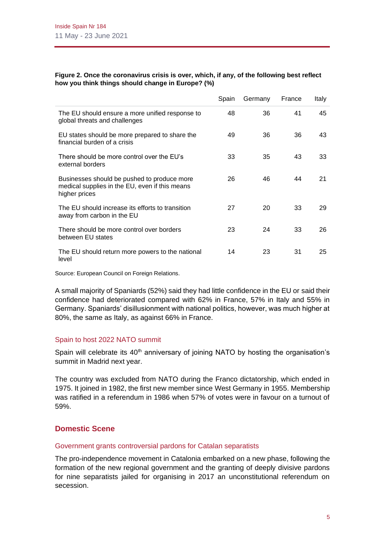#### **Figure 2. Once the coronavirus crisis is over, which, if any, of the following best reflect how you think things should change in Europe? (%)**

|                                                                                                                | Spain | Germany | France | Italy |
|----------------------------------------------------------------------------------------------------------------|-------|---------|--------|-------|
| The EU should ensure a more unified response to<br>global threats and challenges                               | 48    | 36      | 41     | 45    |
| EU states should be more prepared to share the<br>financial burden of a crisis                                 | 49    | 36      | 36     | 43    |
| There should be more control over the EU's<br>external borders                                                 | 33    | 35      | 43     | 33    |
| Businesses should be pushed to produce more<br>medical supplies in the EU, even if this means<br>higher prices | 26    | 46      | 44     | 21    |
| The EU should increase its efforts to transition<br>away from carbon in the EU                                 | 27    | 20      | 33     | 29    |
| There should be more control over borders<br>between EU states                                                 | 23    | 24      | 33     | 26    |
| The EU should return more powers to the national<br>level                                                      | 14    | 23      | 31     | 25    |

Source: European Council on Foreign Relations.

A small majority of Spaniards (52%) said they had little confidence in the EU or said their confidence had deteriorated compared with 62% in France, 57% in Italy and 55% in Germany. Spaniards' disillusionment with national politics, however, was much higher at 80%, the same as Italy, as against 66% in France.

# Spain to host 2022 NATO summit

Spain will celebrate its  $40<sup>th</sup>$  anniversary of joining NATO by hosting the organisation's summit in Madrid next year.

The country was excluded from NATO during the Franco dictatorship, which ended in 1975. It joined in 1982, the first new member since West Germany in 1955. Membership was ratified in a referendum in 1986 when 57% of votes were in favour on a turnout of 59%.

# **Domestic Scene**

# Government grants controversial pardons for Catalan separatists

The pro-independence movement in Catalonia embarked on a new phase, following the formation of the new regional government and the granting of deeply divisive pardons for nine separatists jailed for organising in 2017 an unconstitutional referendum on secession.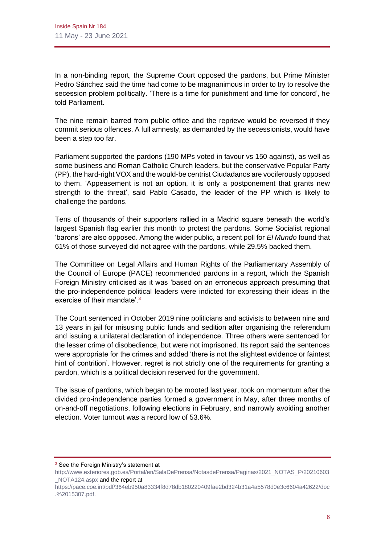In a non-binding report, the Supreme Court opposed the pardons, but Prime Minister Pedro Sánchez said the time had come to be magnanimous in order to try to resolve the secession problem politically. 'There is a time for punishment and time for concord', he told Parliament.

The nine remain barred from public office and the reprieve would be reversed if they commit serious offences. A full amnesty, as demanded by the secessionists, would have been a step too far.

Parliament supported the pardons (190 MPs voted in favour vs 150 against), as well as some business and Roman Catholic Church leaders, but the conservative Popular Party (PP), the hard-right VOX and the would-be centrist Ciudadanos are vociferously opposed to them. 'Appeasement is not an option, it is only a postponement that grants new strength to the threat', said Pablo Casado, the leader of the PP which is likely to challenge the pardons.

Tens of thousands of their supporters rallied in a Madrid square beneath the world's largest Spanish flag earlier this month to protest the pardons. Some Socialist regional 'barons' are also opposed. Among the wider public, a recent poll for *El Mundo* found that 61% of those surveyed did not agree with the pardons, while 29.5% backed them.

The Committee on Legal Affairs and Human Rights of the Parliamentary Assembly of the Council of Europe (PACE) recommended pardons in a report, which the Spanish Foreign Ministry criticised as it was 'based on an erroneous approach presuming that the pro-independence political leaders were indicted for expressing their ideas in the exercise of their mandate'.<sup>3</sup>

The Court sentenced in October 2019 nine politicians and activists to between nine and 13 years in jail for misusing public funds and sedition after organising the referendum and issuing a unilateral declaration of independence. Three others were sentenced for the lesser crime of disobedience, but were not imprisoned. Its report said the sentences were appropriate for the crimes and added 'there is not the slightest evidence or faintest hint of contrition'. However, regret is not strictly one of the requirements for granting a pardon, which is a political decision reserved for the government.

The issue of pardons, which began to be mooted last year, took on momentum after the divided pro-independence parties formed a government in May, after three months of on-and-off negotiations, following elections in February, and narrowly avoiding another election. Voter turnout was a record low of 53.6%.

<sup>&</sup>lt;sup>3</sup> See the Foreign Ministry's statement at

[http://www.exteriores.gob.es/Portal/en/SalaDePrensa/NotasdePrensa/Paginas/2021\\_NOTAS\\_P/20210603](http://www.exteriores.gob.es/Portal/en/SalaDePrensa/NotasdePrensa/Paginas/2021_NOTAS_P/20210603_NOTA124.aspx) [\\_NOTA124.aspx](http://www.exteriores.gob.es/Portal/en/SalaDePrensa/NotasdePrensa/Paginas/2021_NOTAS_P/20210603_NOTA124.aspx) and the report at

[https://pace.coe.int/pdf/364eb950a83334f8d78db180220409fae2bd324b31a4a5578d0e3c6604a42622/doc](https://pace.coe.int/pdf/364eb950a83334f8d78db180220409fae2bd324b31a4a5578d0e3c6604a42622/doc.%2015307.pdf) [.%2015307.pdf.](https://pace.coe.int/pdf/364eb950a83334f8d78db180220409fae2bd324b31a4a5578d0e3c6604a42622/doc.%2015307.pdf)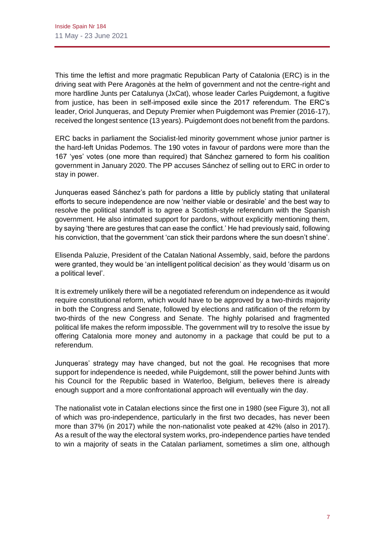This time the leftist and more pragmatic Republican Party of Catalonia (ERC) is in the driving seat with Pere Aragonès at the helm of government and not the centre-right and more hardline Junts per Catalunya (JxCat), whose leader Carles Puigdemont, a fugitive from justice, has been in self-imposed exile since the 2017 referendum. The ERC's leader, Oriol Junqueras, and Deputy Premier when Puigdemont was Premier (2016-17), received the longest sentence (13 years). Puigdemont does not benefit from the pardons.

ERC backs in parliament the Socialist-led minority government whose junior partner is the hard-left Unidas Podemos. The 190 votes in favour of pardons were more than the 167 'yes' votes (one more than required) that Sánchez garnered to form his coalition government in January 2020. The PP accuses Sánchez of selling out to ERC in order to stay in power.

Junqueras eased Sánchez's path for pardons a little by publicly stating that unilateral efforts to secure independence are now 'neither viable or desirable' and the best way to resolve the political standoff is to agree a Scottish-style referendum with the Spanish government. He also intimated support for pardons, without explicitly mentioning them, by saying 'there are gestures that can ease the conflict.' He had previously said, following his conviction, that the government 'can stick their pardons where the sun doesn't shine'.

Elisenda Paluzie, President of the Catalan National Assembly, said, before the pardons were granted, they would be 'an intelligent political decision' as they would 'disarm us on a political level'.

It is extremely unlikely there will be a negotiated referendum on independence as it would require constitutional reform, which would have to be approved by a two-thirds majority in both the Congress and Senate, followed by elections and ratification of the reform by two-thirds of the new Congress and Senate. The highly polarised and fragmented political life makes the reform impossible. The government will try to resolve the issue by offering Catalonia more money and autonomy in a package that could be put to a referendum.

Junqueras' strategy may have changed, but not the goal. He recognises that more support for independence is needed, while Puigdemont, still the power behind Junts with his Council for the Republic based in Waterloo, Belgium, believes there is already enough support and a more confrontational approach will eventually win the day.

The nationalist vote in Catalan elections since the first one in 1980 (see Figure 3), not all of which was pro-independence, particularly in the first two decades, has never been more than 37% (in 2017) while the non-nationalist vote peaked at 42% (also in 2017). As a result of the way the electoral system works, pro-independence parties have tended to win a majority of seats in the Catalan parliament, sometimes a slim one, although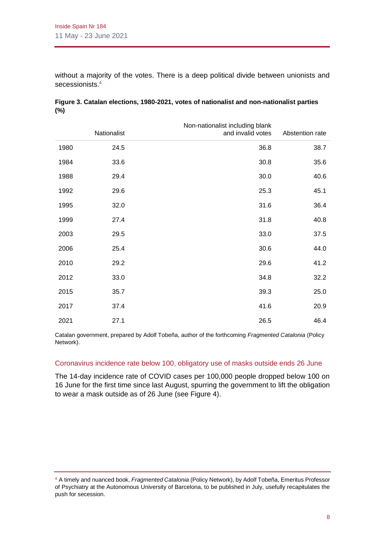without a majority of the votes. There is a deep political divide between unionists and secessionists.<sup>4</sup>

| Abstention rate | Non-nationalist including blank<br>and invalid votes | Nationalist |      |
|-----------------|------------------------------------------------------|-------------|------|
| 38.7            | 36.8                                                 | 24.5        | 1980 |
| 35.6            | 30.8                                                 | 33.6        | 1984 |
| 40.6            | 30.0                                                 | 29.4        | 1988 |
| 45.1            | 25.3                                                 | 29.6        | 1992 |
| 36.4            | 31.6                                                 | 32.0        | 1995 |
| 40.8            | 31.8                                                 | 27.4        | 1999 |
| 37.5            | 33.0                                                 | 29.5        | 2003 |
| 44.0            | 30.6                                                 | 25.4        | 2006 |
| 41.2            | 29.6                                                 | 29.2        | 2010 |
| 32.2            | 34.8                                                 | 33.0        | 2012 |
| 25.0            | 39.3                                                 | 35.7        | 2015 |
| 20.9            | 41.6                                                 | 37.4        | 2017 |
| 46.4            | 26.5                                                 | 27.1        | 2021 |

# **Figure 3. Catalan elections, 1980-2021, votes of nationalist and non-nationalist parties (%)**

Catalan government, prepared by Adolf Tobeña, author of the forthcoming *Fragmented Catalonia* (Policy Network).

#### Coronavirus incidence rate below 100, obligatory use of masks outside ends 26 June

The 14-day incidence rate of COVID cases per 100,000 people dropped below 100 on 16 June for the first time since last August, spurring the government to lift the obligation to wear a mask outside as of 26 June (see Figure 4).

<sup>4</sup> A timely and nuanced book, *Fragmented Catalonia* (Policy Network), by Adolf Tobeña, Emeritus Professor of Psychiatry at the Autonomous University of Barcelona, to be published in July, usefully recapitulates the push for secession.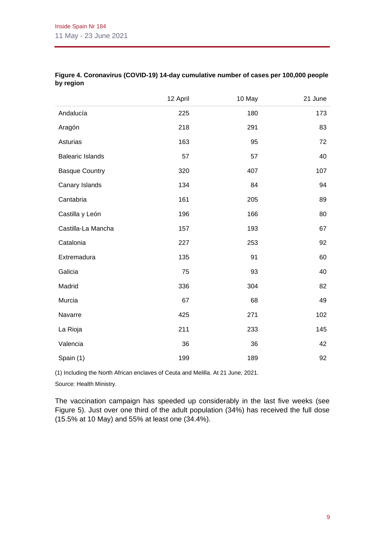|                         | 12 April | 10 May | 21 June |
|-------------------------|----------|--------|---------|
| Andalucía               | 225      | 180    | 173     |
| Aragón                  | 218      | 291    | 83      |
| Asturias                | 163      | 95     | 72      |
| <b>Balearic Islands</b> | 57       | 57     | 40      |
| <b>Basque Country</b>   | 320      | 407    | 107     |
| Canary Islands          | 134      | 84     | 94      |
| Cantabria               | 161      | 205    | 89      |
| Castilla y León         | 196      | 166    | 80      |
| Castilla-La Mancha      | 157      | 193    | 67      |
| Catalonia               | 227      | 253    | 92      |
| Extremadura             | 135      | 91     | 60      |
| Galicia                 | 75       | 93     | 40      |
| Madrid                  | 336      | 304    | 82      |
| Murcia                  | 67       | 68     | 49      |
| Navarre                 | 425      | 271    | 102     |
| La Rioja                | 211      | 233    | 145     |
| Valencia                | 36       | 36     | 42      |
| Spain (1)               | 199      | 189    | 92      |

#### **Figure 4. Coronavirus (COVID-19) 14-day cumulative number of cases per 100,000 people by region**

(1) Including the North African enclaves of Ceuta and Melilla. At 21 June, 2021.

Source: Health Ministry.

The vaccination campaign has speeded up considerably in the last five weeks (see Figure 5). Just over one third of the adult population (34%) has received the full dose (15.5% at 10 May) and 55% at least one (34.4%).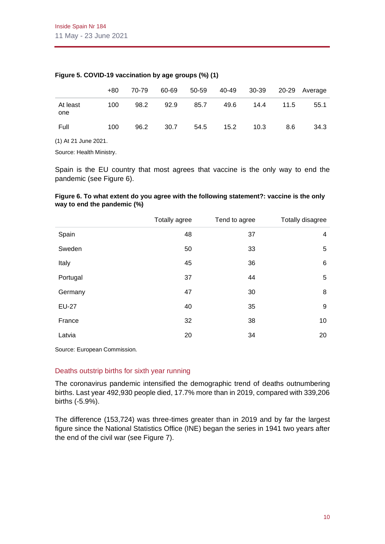|                      | $+80$ | 70-79 | 60-69 | 50-59 | 40-49 | 30-39 |      | 20-29 Average |
|----------------------|-------|-------|-------|-------|-------|-------|------|---------------|
| At least<br>one      | 100   | 98.2  | 92.9  | 85.7  | 49.6  | 14.4  | 11.5 | 55.1          |
| Full                 | 100   | 96.2  | 30.7  | 54.5  | 15.2  | 10.3  | 8.6  | 34.3          |
| (1) At 21 June 2021. |       |       |       |       |       |       |      |               |

# **Figure 5. COVID-19 vaccination by age groups (%) (1)**

Source: Health Ministry.

Spain is the EU country that most agrees that vaccine is the only way to end the pandemic (see Figure 6).

#### **Figure 6. To what extent do you agree with the following statement?: vaccine is the only way to end the pandemic (%)**

|              | Totally agree | Tend to agree | Totally disagree |
|--------------|---------------|---------------|------------------|
| Spain        | 48            | 37            | 4                |
| Sweden       | 50            | 33            | 5                |
| Italy        | 45            | 36            | $\,6$            |
| Portugal     | 37            | 44            | 5                |
| Germany      | 47            | 30            | 8                |
| <b>EU-27</b> | 40            | 35            | 9                |
| France       | 32            | 38            | 10               |
| Latvia       | 20            | 34            | 20               |

Source: European Commission.

#### Deaths outstrip births for sixth year running

The coronavirus pandemic intensified the demographic trend of deaths outnumbering births. Last year 492,930 people died, 17.7% more than in 2019, compared with 339,206 births (-5.9%).

The difference (153,724) was three-times greater than in 2019 and by far the largest figure since the National Statistics Office (INE) began the series in 1941 two years after the end of the civil war (see Figure 7).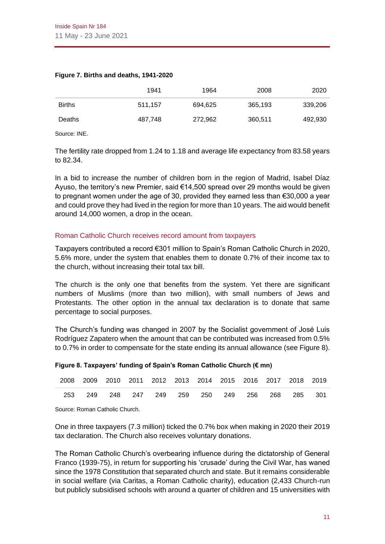|               | 1941    | 1964    | 2008    | 2020    |
|---------------|---------|---------|---------|---------|
| <b>Births</b> | 511.157 | 694.625 | 365,193 | 339,206 |
| Deaths        | 487.748 | 272,962 | 360,511 | 492,930 |

#### **Figure 7. Births and deaths, 1941-2020**

Source: INE.

The fertility rate dropped from 1.24 to 1.18 and average life expectancy from 83.58 years to 82.34.

In a bid to increase the number of children born in the region of Madrid, Isabel Díaz Ayuso, the territory's new Premier, said €14,500 spread over 29 months would be given to pregnant women under the age of 30, provided they earned less than €30,000 a year and could prove they had lived in the region for more than 10 years. The aid would benefit around 14,000 women, a drop in the ocean.

#### Roman Catholic Church receives record amount from taxpayers

Taxpayers contributed a record €301 million to Spain's Roman Catholic Church in 2020, 5.6% more, under the system that enables them to donate 0.7% of their income tax to the church, without increasing their total tax bill.

The church is the only one that benefits from the system. Yet there are significant numbers of Muslims (more than two million), with small numbers of Jews and Protestants. The other option in the annual tax declaration is to donate that same percentage to social purposes.

The Church's funding was changed in 2007 by the Socialist government of José Luis Rodríguez Zapatero when the amount that can be contributed was increased from 0.5% to 0.7% in order to compensate for the state ending its annual allowance (see Figure 8).

|  |  | 2008 2009 2010 2011 2012 2013 2014 2015 2016 2017 2018 2019 |  |  |  |  |
|--|--|-------------------------------------------------------------|--|--|--|--|
|  |  | 253 249 248 247 249 259 250 249 256 268 285 301             |  |  |  |  |

#### **Figure 8. Taxpayers' funding of Spain's Roman Catholic Church (€ mn)**

Source: Roman Catholic Church.

One in three taxpayers (7.3 million) ticked the 0.7% box when making in 2020 their 2019 tax declaration. The Church also receives voluntary donations.

The Roman Catholic Church's overbearing influence during the dictatorship of General Franco (1939-75), in return for supporting his 'crusade' during the Civil War, has waned since the 1978 Constitution that separated church and state. But it remains considerable in social welfare (via Caritas, a Roman Catholic charity), education (2,433 Church-run but publicly subsidised schools with around a quarter of children and 15 universities with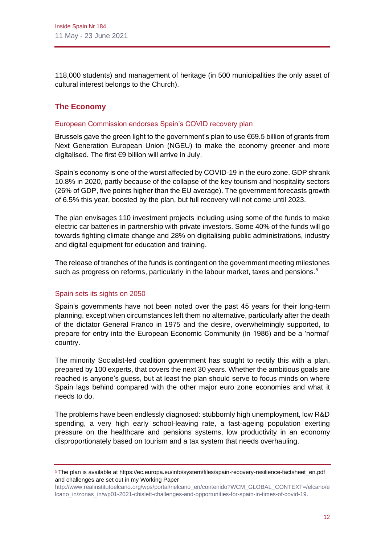118,000 students) and management of heritage (in 500 municipalities the only asset of cultural interest belongs to the Church).

# **The Economy**

# European Commission endorses Spain's COVID recovery plan

Brussels gave the green light to the government's plan to use €69.5 billion of grants from Next Generation European Union (NGEU) to make the economy greener and more digitalised. The first €9 billion will arrive in July.

Spain's economy is one of the worst affected by COVID-19 in the euro zone. GDP shrank 10.8% in 2020, partly because of the collapse of the key tourism and hospitality sectors (26% of GDP, five points higher than the EU average). The government forecasts growth of 6.5% this year, boosted by the plan, but full recovery will not come until 2023.

The plan envisages 110 investment projects including using some of the funds to make electric car batteries in partnership with private investors. Some 40% of the funds will go towards fighting climate change and 28% on digitalising public administrations, industry and digital equipment for education and training.

The release of tranches of the funds is contingent on the government meeting milestones such as progress on reforms, particularly in the labour market, taxes and pensions. $5$ 

# Spain sets its sights on 2050

Spain's governments have not been noted over the past 45 years for their long-term planning, except when circumstances left them no alternative, particularly after the death of the dictator General Franco in 1975 and the desire, overwhelmingly supported, to prepare for entry into the European Economic Community (in 1986) and be a 'normal' country.

The minority Socialist-led coalition government has sought to rectify this with a plan, prepared by 100 experts, that covers the next 30 years. Whether the ambitious goals are reached is anyone's guess, but at least the plan should serve to focus minds on where Spain lags behind compared with the other major euro zone economies and what it needs to do.

The problems have been endlessly diagnosed: stubbornly high unemployment, low R&D spending, a very high early school-leaving rate, a fast-ageing population exerting pressure on the healthcare and pensions systems, low productivity in an economy disproportionately based on tourism and a tax system that needs overhauling.

<sup>5</sup> The plan is available a[t https://ec.europa.eu/info/system/files/spain-recovery-resilience-factsheet\\_en.pdf](https://ec.europa.eu/info/system/files/spain-recovery-resilience-factsheet_en.pdf) and challenges are set out in my Working Paper

[http://www.realinstitutoelcano.org/wps/portal/rielcano\\_en/contenido?WCM\\_GLOBAL\\_CONTEXT=/elcano/e](http://www.realinstitutoelcano.org/wps/portal/rielcano_en/contenido?WCM_GLOBAL_CONTEXT=/elcano/elcano_in/zonas_in/wp01-2021-chislett-challenges-and-opportunities-for-spain-in-times-of-covid-19) [lcano\\_in/zonas\\_in/wp01-2021-chislett-challenges-and-opportunities-for-spain-in-times-of-covid-19.](http://www.realinstitutoelcano.org/wps/portal/rielcano_en/contenido?WCM_GLOBAL_CONTEXT=/elcano/elcano_in/zonas_in/wp01-2021-chislett-challenges-and-opportunities-for-spain-in-times-of-covid-19)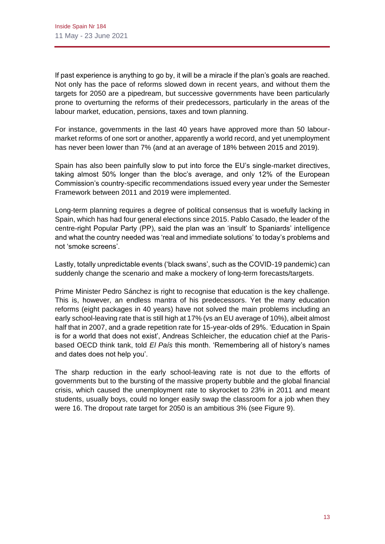If past experience is anything to go by, it will be a miracle if the plan's goals are reached. Not only has the pace of reforms slowed down in recent years, and without them the targets for 2050 are a pipedream, but successive governments have been particularly prone to overturning the reforms of their predecessors, particularly in the areas of the labour market, education, pensions, taxes and town planning.

For instance, governments in the last 40 years have approved more than 50 labourmarket reforms of one sort or another, apparently a world record, and yet unemployment has never been lower than 7% (and at an average of 18% between 2015 and 2019).

Spain has also been painfully slow to put into force the EU's single-market directives, taking almost 50% longer than the bloc's average, and only 12% of the European Commission's country-specific recommendations issued every year under the Semester Framework between 2011 and 2019 were implemented.

Long-term planning requires a degree of political consensus that is woefully lacking in Spain, which has had four general elections since 2015. Pablo Casado, the leader of the centre-right Popular Party (PP), said the plan was an 'insult' to Spaniards' intelligence and what the country needed was 'real and immediate solutions' to today's problems and not 'smoke screens'.

Lastly, totally unpredictable events ('black swans', such as the COVID-19 pandemic) can suddenly change the scenario and make a mockery of long-term forecasts/targets.

Prime Minister Pedro Sánchez is right to recognise that education is the key challenge. This is, however, an endless mantra of his predecessors. Yet the many education reforms (eight packages in 40 years) have not solved the main problems including an early school-leaving rate that is still high at 17% (vs an EU average of 10%), albeit almost half that in 2007, and a grade repetition rate for 15-year-olds of 29%. 'Education in Spain is for a world that does not exist', Andreas Schleicher, the education chief at the Parisbased OECD think tank, told *El País* this month. 'Remembering all of history's names and dates does not help you'.

The sharp reduction in the early school-leaving rate is not due to the efforts of governments but to the bursting of the massive property bubble and the global financial crisis, which caused the unemployment rate to skyrocket to 23% in 2011 and meant students, usually boys, could no longer easily swap the classroom for a job when they were 16. The dropout rate target for 2050 is an ambitious 3% (see Figure 9).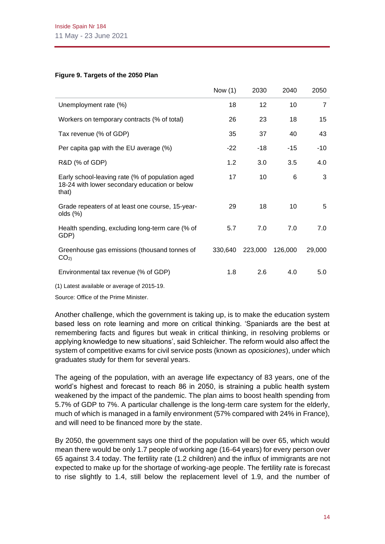#### **Figure 9. Targets of the 2050 Plan**

|                                                                                                           | Now $(1)$ | 2030            | 2040    | 2050           |
|-----------------------------------------------------------------------------------------------------------|-----------|-----------------|---------|----------------|
| Unemployment rate (%)                                                                                     | 18        | 12 <sup>2</sup> | 10      | $\overline{7}$ |
| Workers on temporary contracts (% of total)                                                               | 26        | 23              | 18      | 15             |
| Tax revenue (% of GDP)                                                                                    | 35        | 37              | 40      | 43             |
| Per capita gap with the EU average (%)                                                                    | $-22$     | $-18$           | $-15$   | $-10$          |
| R&D (% of GDP)                                                                                            | 1.2       | 3.0             | 3.5     | 4.0            |
| Early school-leaving rate (% of population aged<br>18-24 with lower secondary education or below<br>that) | 17        | 10              | 6       | 3              |
| Grade repeaters of at least one course, 15-year-<br>olds (%)                                              | 29        | 18              | 10      | 5              |
| Health spending, excluding long-term care (% of<br>GDP)                                                   | 5.7       | 7.0             | 7.0     | 7.0            |
| Greenhouse gas emissions (thousand tonnes of<br>CO <sub>2</sub>                                           | 330,640   | 223,000         | 126,000 | 29,000         |
| Environmental tax revenue (% of GDP)                                                                      | 1.8       | 2.6             | 4.0     | 5.0            |
| $(4)$ Latest qualished as quasare of $004F$ 40                                                            |           |                 |         |                |

(1) Latest available or average of 2015-19.

Source: Office of the Prime Minister.

Another challenge, which the government is taking up, is to make the education system based less on rote learning and more on critical thinking. 'Spaniards are the best at remembering facts and figures but weak in critical thinking, in resolving problems or applying knowledge to new situations', said Schleicher. The reform would also affect the system of competitive exams for civil service posts (known as *oposiciones*), under which graduates study for them for several years.

The ageing of the population, with an average life expectancy of 83 years, one of the world's highest and forecast to reach 86 in 2050, is straining a public health system weakened by the impact of the pandemic. The plan aims to boost health spending from 5.7% of GDP to 7%. A particular challenge is the long-term care system for the elderly, much of which is managed in a family environment (57% compared with 24% in France), and will need to be financed more by the state.

By 2050, the government says one third of the population will be over 65, which would mean there would be only 1.7 people of working age (16-64 years) for every person over 65 against 3.4 today. The fertility rate (1.2 children) and the influx of immigrants are not expected to make up for the shortage of working-age people. The fertility rate is forecast to rise slightly to 1.4, still below the replacement level of 1.9, and the number of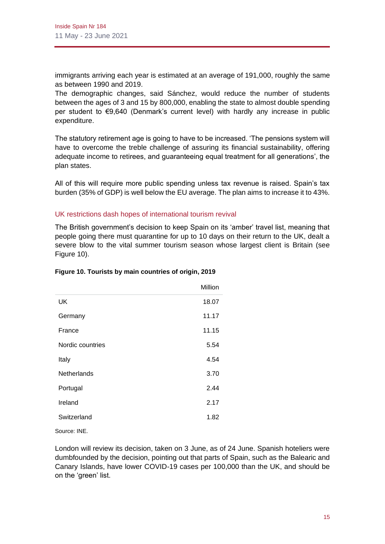immigrants arriving each year is estimated at an average of 191,000, roughly the same as between 1990 and 2019.

The demographic changes, said Sánchez, would reduce the number of students between the ages of 3 and 15 by 800,000, enabling the state to almost double spending per student to €9,640 (Denmark's current level) with hardly any increase in public expenditure.

The statutory retirement age is going to have to be increased. 'The pensions system will have to overcome the treble challenge of assuring its financial sustainability, offering adequate income to retirees, and guaranteeing equal treatment for all generations', the plan states.

All of this will require more public spending unless tax revenue is raised. Spain's tax burden (35% of GDP) is well below the EU average. The plan aims to increase it to 43%.

# UK restrictions dash hopes of international tourism revival

The British government's decision to keep Spain on its 'amber' travel list, meaning that people going there must quarantine for up to 10 days on their return to the UK, dealt a severe blow to the vital summer tourism season whose largest client is Britain (see Figure 10).

|                    | Million |
|--------------------|---------|
| UK                 | 18.07   |
| Germany            | 11.17   |
| France             | 11.15   |
| Nordic countries   | 5.54    |
| Italy              | 4.54    |
| <b>Netherlands</b> | 3.70    |
| Portugal           | 2.44    |
| Ireland            | 2.17    |
| Switzerland        | 1.82    |
|                    |         |

#### **Figure 10. Tourists by main countries of origin, 2019**

Source: INE.

London will review its decision, taken on 3 June, as of 24 June. Spanish hoteliers were dumbfounded by the decision, pointing out that parts of Spain, such as the Balearic and Canary Islands, have lower COVID-19 cases per 100,000 than the UK, and should be on the 'green' list.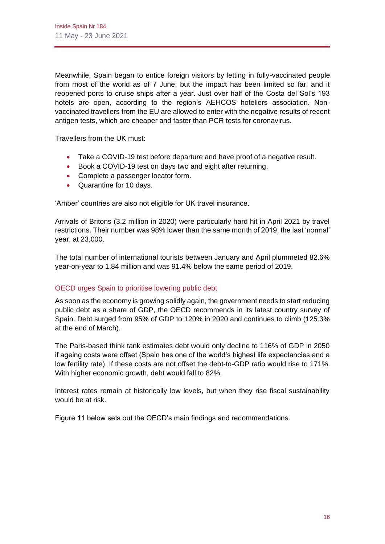Meanwhile, Spain began to entice foreign visitors by letting in fully-vaccinated people from most of the world as of 7 June, but the impact has been limited so far, and it reopened ports to cruise ships after a year. Just over half of the Costa del Sol's 193 hotels are open, according to the region's AEHCOS hoteliers association. Nonvaccinated travellers from the EU are allowed to enter with the negative results of recent antigen tests, which are cheaper and faster than PCR tests for coronavirus.

Travellers from the UK must:

- Take a COVID-19 test before departure and have proof of a negative result.
- Book a COVID-19 test on days two and eight after returning.
- Complete a passenger locator form.
- Quarantine for 10 days.

'Amber' countries are also not eligible for UK travel insurance.

Arrivals of Britons (3.2 million in 2020) were particularly hard hit in April 2021 by travel restrictions. Their number was 98% lower than the same month of 2019, the last 'normal' year, at 23,000.

The total number of international tourists between January and April plummeted 82.6% year-on-year to 1.84 million and was 91.4% below the same period of 2019.

# OECD urges Spain to prioritise lowering public debt

As soon as the economy is growing solidly again, the government needs to start reducing public debt as a share of GDP, the OECD recommends in its latest country survey of Spain. Debt surged from 95% of GDP to 120% in 2020 and continues to climb (125.3% at the end of March).

The Paris-based think tank estimates debt would only decline to 116% of GDP in 2050 if ageing costs were offset (Spain has one of the world's highest life expectancies and a low fertility rate). If these costs are not offset the debt-to-GDP ratio would rise to 171%. With higher economic growth, debt would fall to 82%.

Interest rates remain at historically low levels, but when they rise fiscal sustainability would be at risk.

Figure 11 below sets out the OECD's main findings and recommendations.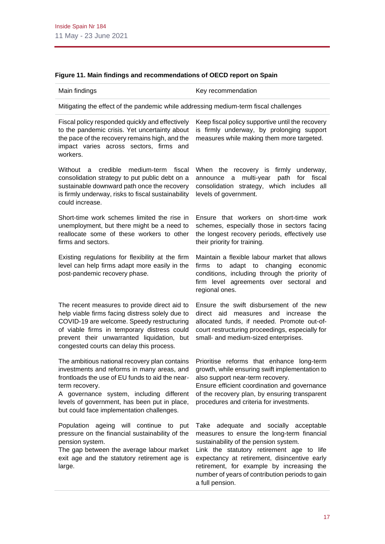| Main findings                                                                                                                                                                                                                                                                                             | Key recommendation                                                                                                                                                                                                                                                                                                                           |
|-----------------------------------------------------------------------------------------------------------------------------------------------------------------------------------------------------------------------------------------------------------------------------------------------------------|----------------------------------------------------------------------------------------------------------------------------------------------------------------------------------------------------------------------------------------------------------------------------------------------------------------------------------------------|
| Mitigating the effect of the pandemic while addressing medium-term fiscal challenges                                                                                                                                                                                                                      |                                                                                                                                                                                                                                                                                                                                              |
| Fiscal policy responded quickly and effectively<br>to the pandemic crisis. Yet uncertainty about<br>the pace of the recovery remains high, and the<br>impact varies across sectors, firms and<br>workers.                                                                                                 | Keep fiscal policy supportive until the recovery<br>is firmly underway, by prolonging support<br>measures while making them more targeted.                                                                                                                                                                                                   |
| credible<br>medium-term<br>fiscal<br>Without<br>a<br>consolidation strategy to put public debt on a<br>sustainable downward path once the recovery<br>is firmly underway, risks to fiscal sustainability<br>could increase.                                                                               | When the recovery is firmly<br>underway,<br>announce a multi-year<br>for fiscal<br>path<br>consolidation strategy, which includes all<br>levels of government.                                                                                                                                                                               |
| Short-time work schemes limited the rise in<br>unemployment, but there might be a need to<br>reallocate some of these workers to other<br>firms and sectors.                                                                                                                                              | Ensure that workers on short-time work<br>schemes, especially those in sectors facing<br>the longest recovery periods, effectively use<br>their priority for training.                                                                                                                                                                       |
| Existing regulations for flexibility at the firm<br>level can help firms adapt more easily in the<br>post-pandemic recovery phase.                                                                                                                                                                        | Maintain a flexible labour market that allows<br>adapt to<br>changing<br>firms<br>to<br>economic<br>conditions, including through the priority of<br>firm level agreements over sectoral and<br>regional ones.                                                                                                                               |
| The recent measures to provide direct aid to<br>help viable firms facing distress solely due to<br>COVID-19 are welcome. Speedy restructuring<br>of viable firms in temporary distress could<br>prevent their unwarranted liquidation, but<br>congested courts can delay this process.                    | Ensure the swift disbursement of the new<br>direct aid<br>measures and increase the<br>allocated funds, if needed. Promote out-of-<br>court restructuring proceedings, especially for<br>small- and medium-sized enterprises.                                                                                                                |
| The ambitious national recovery plan contains<br>investments and reforms in many areas, and<br>frontloads the use of EU funds to aid the near-<br>term recovery.<br>A governance system, including different<br>levels of government, has been put in place,<br>but could face implementation challenges. | Prioritise reforms that enhance long-term<br>growth, while ensuring swift implementation to<br>also support near-term recovery.<br>Ensure efficient coordination and governance<br>of the recovery plan, by ensuring transparent<br>procedures and criteria for investments.                                                                 |
| Population ageing will continue to put<br>pressure on the financial sustainability of the<br>pension system.<br>The gap between the average labour market<br>exit age and the statutory retirement age is<br>large.                                                                                       | Take adequate and socially acceptable<br>measures to ensure the long-term financial<br>sustainability of the pension system.<br>Link the statutory retirement age to life<br>expectancy at retirement, disincentive early<br>retirement, for example by increasing the<br>number of years of contribution periods to gain<br>a full pension. |

# **Figure 11. Main findings and recommendations of OECD report on Spain**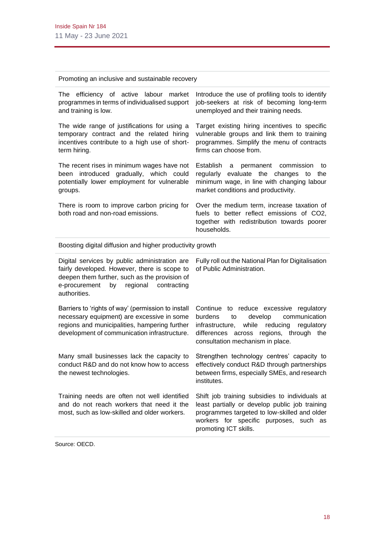Promoting an inclusive and sustainable recovery

| The efficiency of active labour market<br>programmes in terms of individualised support<br>and training is low.                                                                                                  | Introduce the use of profiling tools to identify<br>job-seekers at risk of becoming long-term<br>unemployed and their training needs.                                                                                     |
|------------------------------------------------------------------------------------------------------------------------------------------------------------------------------------------------------------------|---------------------------------------------------------------------------------------------------------------------------------------------------------------------------------------------------------------------------|
| The wide range of justifications for using a<br>temporary contract and the related hiring<br>incentives contribute to a high use of short-<br>term hiring.                                                       | Target existing hiring incentives to specific<br>vulnerable groups and link them to training<br>programmes. Simplify the menu of contracts<br>firms can choose from.                                                      |
| The recent rises in minimum wages have not<br>been introduced gradually, which could<br>potentially lower employment for vulnerable<br>groups.                                                                   | Establish<br>permanent<br>commission<br>a<br>to<br>regularly evaluate the changes<br>to<br>the<br>minimum wage, in line with changing labour<br>market conditions and productivity.                                       |
| There is room to improve carbon pricing for<br>both road and non-road emissions.                                                                                                                                 | Over the medium term, increase taxation of<br>fuels to better reflect emissions of CO2,<br>together with redistribution towards poorer<br>households.                                                                     |
| Boosting digital diffusion and higher productivity growth                                                                                                                                                        |                                                                                                                                                                                                                           |
| Digital services by public administration are<br>fairly developed. However, there is scope to<br>deepen them further, such as the provision of<br>e-procurement<br>regional<br>by<br>contracting<br>authorities. | Fully roll out the National Plan for Digitalisation<br>of Public Administration.                                                                                                                                          |
| Barriers to 'rights of way' (permission to install<br>necessary equipment) are excessive in some<br>regions and municipalities, hampering further<br>development of communication infrastructure.                | Continue to reduce excessive regulatory<br>burdens<br>develop<br>communication<br>to<br>while<br>reducing<br>infrastructure,<br>regulatory<br>differences across regions, through the<br>consultation mechanism in place. |
| Many small businesses lack the capacity to<br>conduct R&D and do not know how to access<br>the newest technologies.                                                                                              | Strengthen technology centres' capacity to<br>effectively conduct R&D through partnerships<br>between firms, especially SMEs, and research<br>institutes.                                                                 |
| Training needs are often not well identified<br>and do not reach workers that need it the                                                                                                                        | Shift job training subsidies to individuals at                                                                                                                                                                            |

promoting ICT skills.

Source: OECD.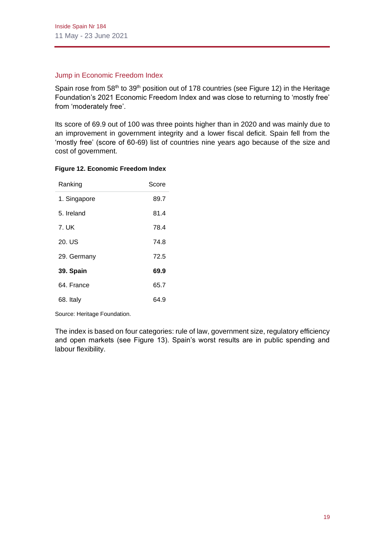# Jump in Economic Freedom Index

Spain rose from  $58<sup>th</sup>$  to  $39<sup>th</sup>$  position out of 178 countries (see Figure 12) in the Heritage Foundation's 2021 Economic Freedom Index and was close to returning to 'mostly free' from 'moderately free'.

Its score of 69.9 out of 100 was three points higher than in 2020 and was mainly due to an improvement in government integrity and a lower fiscal deficit. Spain fell from the 'mostly free' (score of 60-69) list of countries nine years ago because of the size and cost of government.

| Ranking      | Score |
|--------------|-------|
| 1. Singapore | 89.7  |
| 5. Ireland   | 81.4  |
| 7. UK        | 78.4  |
| 20. US       | 74.8  |
| 29. Germany  | 72.5  |
| 39. Spain    | 69.9  |
| 64. France   | 65.7  |
| 68. Italy    | 64.9  |

#### **Figure 12. Economic Freedom Index**

Source: Heritage Foundation.

The index is based on four categories: rule of law, government size, regulatory efficiency and open markets (see Figure 13). Spain's worst results are in public spending and labour flexibility.